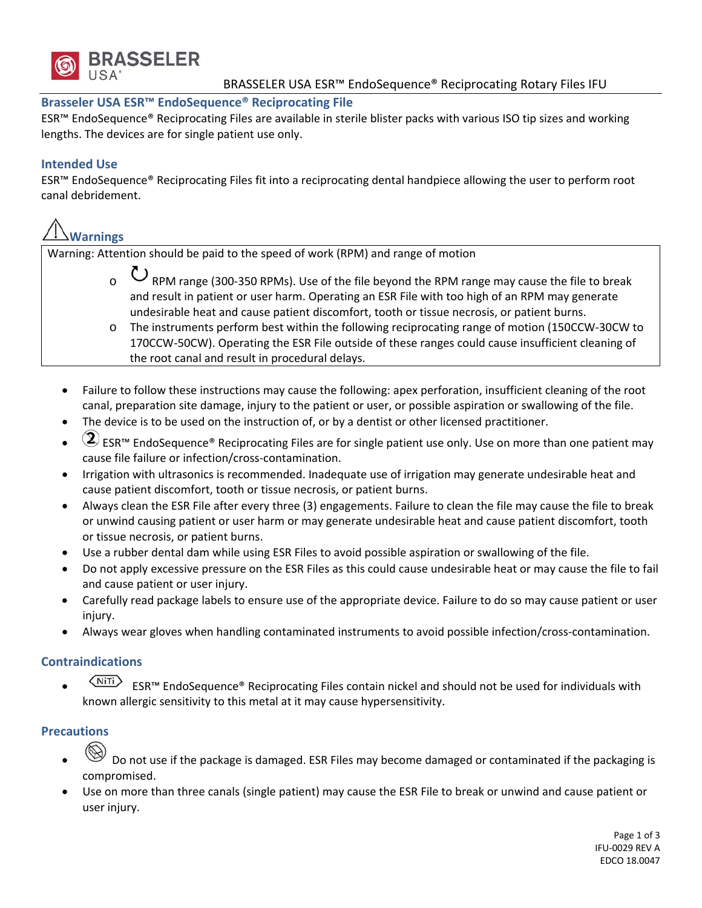

## **Brasseler USA ESR™ EndoSequence® Reciprocating File**

ESR™ EndoSequence® Reciprocating Files are available in sterile blister packs with various ISO tip sizes and working lengths. The devices are for single patient use only.

## **Intended Use**

ESR™ EndoSequence® Reciprocating Files fit into a reciprocating dental handpiece allowing the user to perform root canal debridement.

# **Warnings**

Warning: Attention should be paid to the speed of work (RPM) and range of motion

- $\circ$   $\bullet$  RPM range (300-350 RPMs). Use of the file beyond the RPM range may cause the file to break and result in patient or user harm. Operating an ESR File with too high of an RPM may generate undesirable heat and cause patient discomfort, tooth or tissue necrosis, or patient burns.
- o The instruments perform best within the following reciprocating range of motion (150CCW‐30CW to 170CCW‐50CW). Operating the ESR File outside of these ranges could cause insufficient cleaning of the root canal and result in procedural delays.
- Failure to follow these instructions may cause the following: apex perforation, insufficient cleaning of the root canal, preparation site damage, injury to the patient or user, or possible aspiration or swallowing of the file.
- The device is to be used on the instruction of, or by a dentist or other licensed practitioner.
- (2) ESR<sup>™</sup> EndoSequence® Reciprocating Files are for single patient use only. Use on more than one patient may cause file failure or infection/cross‐contamination.
- Irrigation with ultrasonics is recommended. Inadequate use of irrigation may generate undesirable heat and cause patient discomfort, tooth or tissue necrosis, or patient burns.
- Always clean the ESR File after every three (3) engagements. Failure to clean the file may cause the file to break or unwind causing patient or user harm or may generate undesirable heat and cause patient discomfort, tooth or tissue necrosis, or patient burns.
- Use a rubber dental dam while using ESR Files to avoid possible aspiration or swallowing of the file.
- Do not apply excessive pressure on the ESR Files as this could cause undesirable heat or may cause the file to fail and cause patient or user injury.
- Carefully read package labels to ensure use of the appropriate device. Failure to do so may cause patient or user injury.
- Always wear gloves when handling contaminated instruments to avoid possible infection/cross‐contamination.

## **Contraindications**

 $\overline{\langle N^{\text{HTi}}\rangle}$  ESR<sup>™</sup> EndoSequence® Reciprocating Files contain nickel and should not be used for individuals with known allergic sensitivity to this metal at it may cause hypersensitivity.

# **Precautions**

- Do not use if the package is damaged. ESR Files may become damaged or contaminated if the packaging is compromised.
- Use on more than three canals (single patient) may cause the ESR File to break or unwind and cause patient or user injury.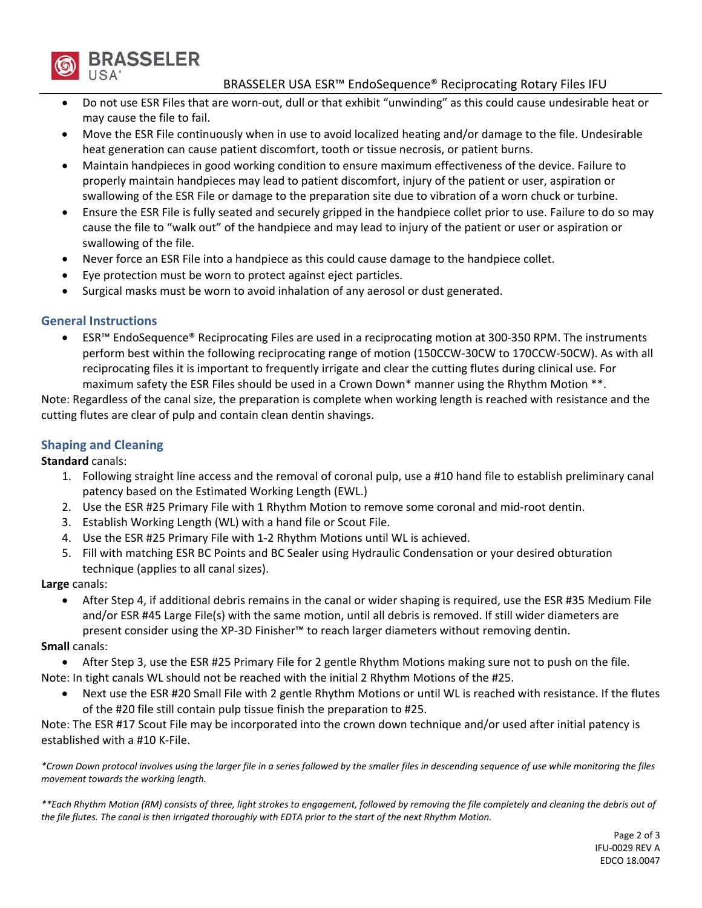

#### BRASSELER USA ESR™ EndoSequence® Reciprocating Rotary Files IFU

- Do not use ESR Files that are worn‐out, dull or that exhibit "unwinding" as this could cause undesirable heat or may cause the file to fail.
- Move the ESR File continuously when in use to avoid localized heating and/or damage to the file. Undesirable heat generation can cause patient discomfort, tooth or tissue necrosis, or patient burns.
- Maintain handpieces in good working condition to ensure maximum effectiveness of the device. Failure to properly maintain handpieces may lead to patient discomfort, injury of the patient or user, aspiration or swallowing of the ESR File or damage to the preparation site due to vibration of a worn chuck or turbine.
- Ensure the ESR File is fully seated and securely gripped in the handpiece collet prior to use. Failure to do so may cause the file to "walk out" of the handpiece and may lead to injury of the patient or user or aspiration or swallowing of the file.
- Never force an ESR File into a handpiece as this could cause damage to the handpiece collet.
- Eye protection must be worn to protect against eject particles.
- Surgical masks must be worn to avoid inhalation of any aerosol or dust generated.

#### **General Instructions**

 ESR™ EndoSequence® Reciprocating Files are used in a reciprocating motion at 300‐350 RPM. The instruments perform best within the following reciprocating range of motion (150CCW‐30CW to 170CCW‐50CW). As with all reciprocating files it is important to frequently irrigate and clear the cutting flutes during clinical use. For maximum safety the ESR Files should be used in a Crown Down\* manner using the Rhythm Motion \*\*.

Note: Regardless of the canal size, the preparation is complete when working length is reached with resistance and the cutting flutes are clear of pulp and contain clean dentin shavings.

## **Shaping and Cleaning**

**Standard** canals:

- 1. Following straight line access and the removal of coronal pulp, use a #10 hand file to establish preliminary canal patency based on the Estimated Working Length (EWL.)
- 2. Use the ESR #25 Primary File with 1 Rhythm Motion to remove some coronal and mid‐root dentin.
- 3. Establish Working Length (WL) with a hand file or Scout File.
- 4. Use the ESR #25 Primary File with 1‐2 Rhythm Motions until WL is achieved.
- 5. Fill with matching ESR BC Points and BC Sealer using Hydraulic Condensation or your desired obturation technique (applies to all canal sizes).

**Large** canals:

 After Step 4, if additional debris remains in the canal or wider shaping is required, use the ESR #35 Medium File and/or ESR #45 Large File(s) with the same motion, until all debris is removed. If still wider diameters are present consider using the XP-3D Finisher™ to reach larger diameters without removing dentin.

#### **Small** canals:

- After Step 3, use the ESR #25 Primary File for 2 gentle Rhythm Motions making sure not to push on the file.
- Note: In tight canals WL should not be reached with the initial 2 Rhythm Motions of the #25.
	- Next use the ESR #20 Small File with 2 gentle Rhythm Motions or until WL is reached with resistance. If the flutes of the #20 file still contain pulp tissue finish the preparation to #25.

Note: The ESR #17 Scout File may be incorporated into the crown down technique and/or used after initial patency is established with a #10 K‐File.

\*Crown Down protocol involves using the larger file in a series followed by the smaller files in descending sequence of use while monitoring the files *movement towards the working length.* 

\*\*Each Rhythm Motion (RM) consists of three, light strokes to engagement, followed by removing the file completely and cleaning the debris out of the file flutes. The canal is then irrigated thoroughly with EDTA prior to the start of the next Rhythm Motion.